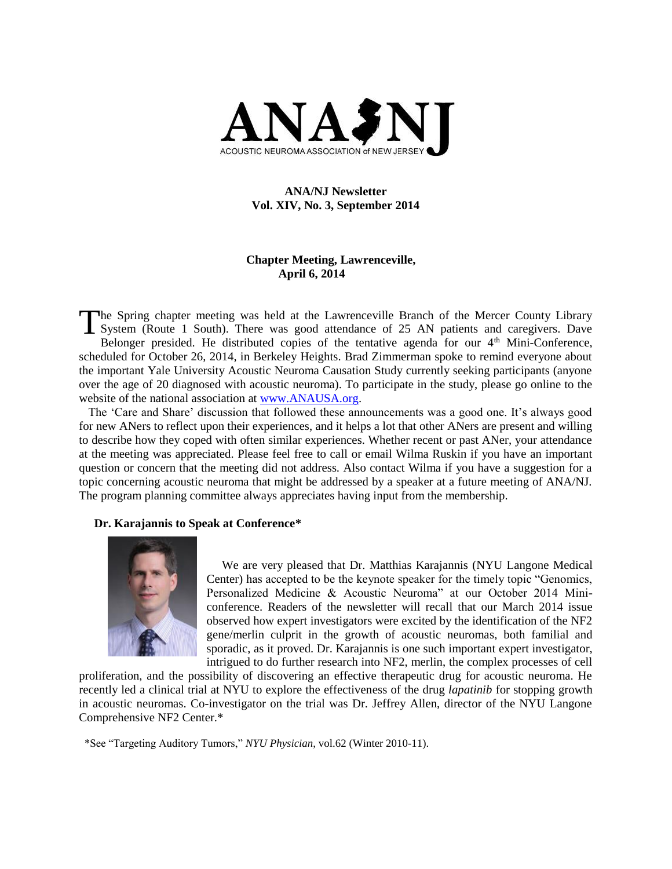

# **ANA/NJ Newsletter Vol. XIV, No. 3, September 2014**

# **Chapter Meeting, Lawrenceville, April 6, 2014**

he Spring chapter meeting was held at the Lawrenceville Branch of the Mercer County Library The Spring chapter meeting was held at the Lawrenceville Branch of the Mercer County Library<br>System (Route 1 South). There was good attendance of 25 AN patients and caregivers. Dave Belonger presided. He distributed copies of the tentative agenda for our  $4<sup>th</sup>$  Mini-Conference, scheduled for October 26, 2014, in Berkeley Heights. Brad Zimmerman spoke to remind everyone about the important Yale University Acoustic Neuroma Causation Study currently seeking participants (anyone over the age of 20 diagnosed with acoustic neuroma). To participate in the study, please go online to the website of the national association at [www.ANAUSA.org.](http://www.anausa.org/)

 The 'Care and Share' discussion that followed these announcements was a good one. It's always good for new ANers to reflect upon their experiences, and it helps a lot that other ANers are present and willing to describe how they coped with often similar experiences. Whether recent or past ANer, your attendance at the meeting was appreciated. Please feel free to call or email Wilma Ruskin if you have an important question or concern that the meeting did not address. Also contact Wilma if you have a suggestion for a topic concerning acoustic neuroma that might be addressed by a speaker at a future meeting of ANA/NJ. The program planning committee always appreciates having input from the membership.

### **Dr. Karajannis to Speak at Conference\***



We are very pleased that Dr. Matthias Karajannis (NYU Langone Medical Center) has accepted to be the keynote speaker for the timely topic "Genomics, Personalized Medicine & Acoustic Neuroma" at our October 2014 Miniconference. Readers of the newsletter will recall that our March 2014 issue observed how expert investigators were excited by the identification of the NF2 gene/merlin culprit in the growth of acoustic neuromas, both familial and sporadic, as it proved. Dr. Karajannis is one such important expert investigator, intrigued to do further research into NF2, merlin, the complex processes of cell

proliferation, and the possibility of discovering an effective therapeutic drug for acoustic neuroma. He recently led a clinical trial at NYU to explore the effectiveness of the drug *lapatinib* for stopping growth in acoustic neuromas. Co-investigator on the trial was Dr. Jeffrey Allen, director of the NYU Langone Comprehensive NF2 Center.\*

\*See "Targeting Auditory Tumors," *NYU Physician*, vol.62 (Winter 2010-11).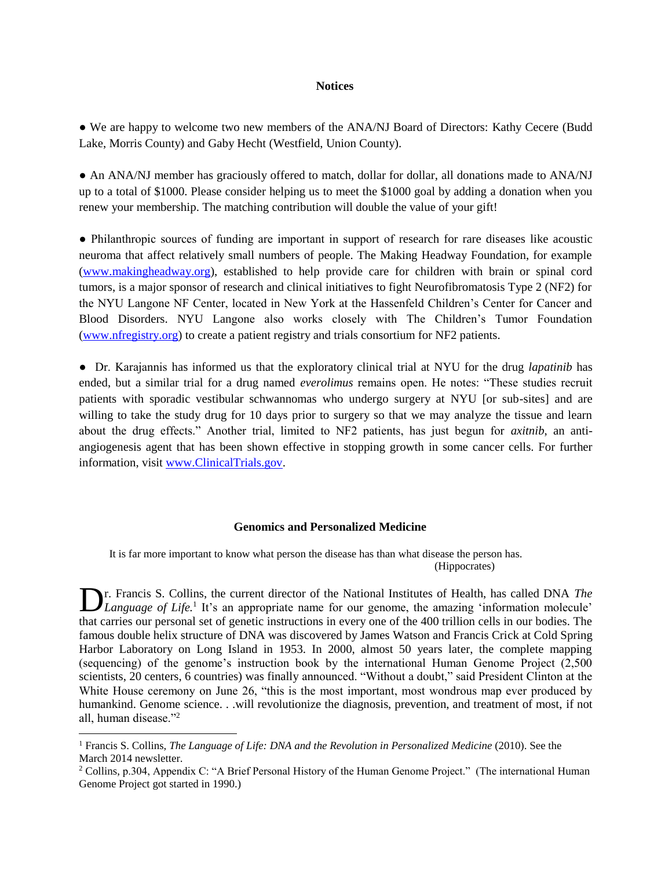#### **Notices**

**●** We are happy to welcome two new members of the ANA/NJ Board of Directors: Kathy Cecere (Budd Lake, Morris County) and Gaby Hecht (Westfield, Union County).

• An ANA/NJ member has graciously offered to match, dollar for dollar, all donations made to ANA/NJ up to a total of \$1000. Please consider helping us to meet the \$1000 goal by adding a donation when you renew your membership. The matching contribution will double the value of your gift!

● Philanthropic sources of funding are important in support of research for rare diseases like acoustic neuroma that affect relatively small numbers of people. The Making Headway Foundation, for example [\(www.makingheadway.org\)](http://www.makingheadway.org/), established to help provide care for children with brain or spinal cord tumors, is a major sponsor of research and clinical initiatives to fight Neurofibromatosis Type 2 (NF2) for the NYU Langone NF Center, located in New York at the Hassenfeld Children's Center for Cancer and Blood Disorders. NYU Langone also works closely with The Children's Tumor Foundation [\(www.nfregistry.org\)](http://www.nfregistry.org/) to create a patient registry and trials consortium for NF2 patients.

● Dr. Karajannis has informed us that the exploratory clinical trial at NYU for the drug *lapatinib* has ended, but a similar trial for a drug named *everolimus* remains open. He notes: "These studies recruit patients with sporadic vestibular schwannomas who undergo surgery at NYU [or sub-sites] and are willing to take the study drug for 10 days prior to surgery so that we may analyze the tissue and learn about the drug effects." Another trial, limited to NF2 patients, has just begun for *axitnib*, an antiangiogenesis agent that has been shown effective in stopping growth in some cancer cells. For further information, visit [www.ClinicalTrials.gov.](http://www.clinicaltrials.gov/)

#### **Genomics and Personalized Medicine**

 It is far more important to know what person the disease has than what disease the person has. (Hippocrates)

r. Francis S. Collins, the current director of the National Institutes of Health, has called DNA *The*  **D**r. Francis S. Collins, the current director of the National Institutes of Health, has called DNA *The Language of Life*.<sup>1</sup> It's an appropriate name for our genome, the amazing 'information molecule' that carries our personal set of genetic instructions in every one of the 400 trillion cells in our bodies. The famous double helix structure of DNA was discovered by James Watson and Francis Crick at Cold Spring Harbor Laboratory on Long Island in 1953. In 2000, almost 50 years later, the complete mapping (sequencing) of the genome's instruction book by the international Human Genome Project (2,500 scientists, 20 centers, 6 countries) was finally announced. "Without a doubt," said President Clinton at the White House ceremony on June 26, "this is the most important, most wondrous map ever produced by humankind. Genome science. . .will revolutionize the diagnosis, prevention, and treatment of most, if not all, human disease."<sup>2</sup>

l

<sup>1</sup> Francis S. Collins, *The Language of Life: DNA and the Revolution in Personalized Medicine* (2010). See the March 2014 newsletter.

<sup>&</sup>lt;sup>2</sup> Collins, p.304, Appendix C: "A Brief Personal History of the Human Genome Project." (The international Human Genome Project got started in 1990.)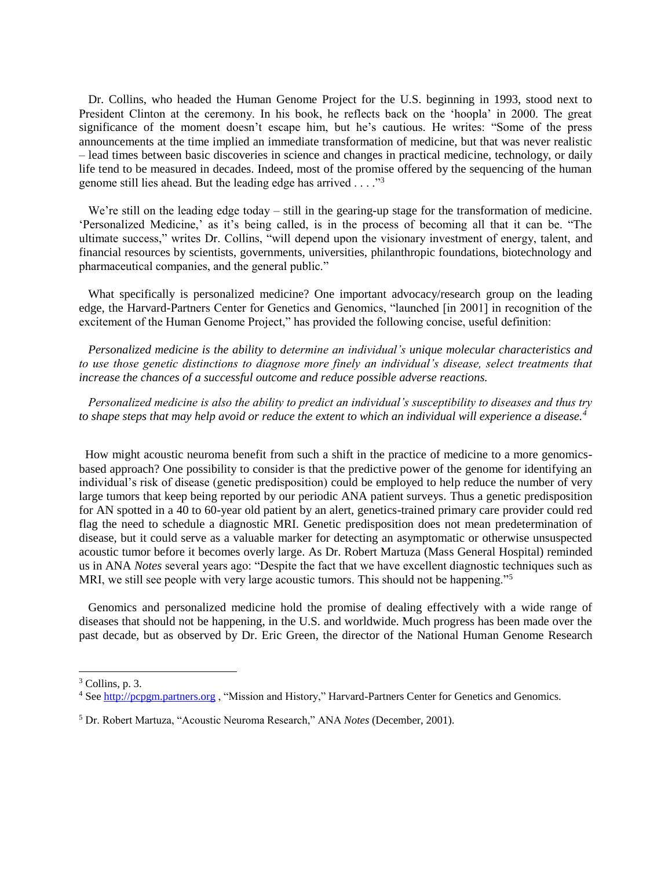Dr. Collins, who headed the Human Genome Project for the U.S. beginning in 1993, stood next to President Clinton at the ceremony. In his book, he reflects back on the 'hoopla' in 2000. The great significance of the moment doesn't escape him, but he's cautious. He writes: "Some of the press announcements at the time implied an immediate transformation of medicine, but that was never realistic – lead times between basic discoveries in science and changes in practical medicine, technology, or daily life tend to be measured in decades. Indeed, most of the promise offered by the sequencing of the human genome still lies ahead. But the leading edge has arrived . . . ."<sup>3</sup>

We're still on the leading edge today – still in the gearing-up stage for the transformation of medicine. 'Personalized Medicine,' as it's being called, is in the process of becoming all that it can be. "The ultimate success," writes Dr. Collins, "will depend upon the visionary investment of energy, talent, and financial resources by scientists, governments, universities, philanthropic foundations, biotechnology and pharmaceutical companies, and the general public."

 What specifically is personalized medicine? One important advocacy/research group on the leading edge, the Harvard-Partners Center for Genetics and Genomics, "launched [in 2001] in recognition of the excitement of the Human Genome Project," has provided the following concise, useful definition:

 *Personalized medicine is the ability to determine an individual's unique molecular characteristics and to use those genetic distinctions to diagnose more finely an individual's disease, select treatments that increase the chances of a successful outcome and reduce possible adverse reactions.* 

 *Personalized medicine is also the ability to predict an individual's susceptibility to diseases and thus try to shape steps that may help avoid or reduce the extent to which an individual will experience a disease.<sup>4</sup>*

How might acoustic neuroma benefit from such a shift in the practice of medicine to a more genomicsbased approach? One possibility to consider is that the predictive power of the genome for identifying an individual's risk of disease (genetic predisposition) could be employed to help reduce the number of very large tumors that keep being reported by our periodic ANA patient surveys. Thus a genetic predisposition for AN spotted in a 40 to 60-year old patient by an alert, genetics-trained primary care provider could red flag the need to schedule a diagnostic MRI. Genetic predisposition does not mean predetermination of disease, but it could serve as a valuable marker for detecting an asymptomatic or otherwise unsuspected acoustic tumor before it becomes overly large. As Dr. Robert Martuza (Mass General Hospital) reminded us in ANA *Notes* several years ago: "Despite the fact that we have excellent diagnostic techniques such as MRI, we still see people with very large acoustic tumors. This should not be happening."<sup>5</sup>

 Genomics and personalized medicine hold the promise of dealing effectively with a wide range of diseases that should not be happening, in the U.S. and worldwide. Much progress has been made over the past decade, but as observed by Dr. Eric Green, the director of the National Human Genome Research

l

<sup>3</sup> Collins, p. 3.

<sup>4</sup> Se[e http://pcpgm.partners.org](http://pcpgm.partners.org/) , "Mission and History," Harvard-Partners Center for Genetics and Genomics.

<sup>5</sup> Dr. Robert Martuza, "Acoustic Neuroma Research," ANA *Notes* (December, 2001).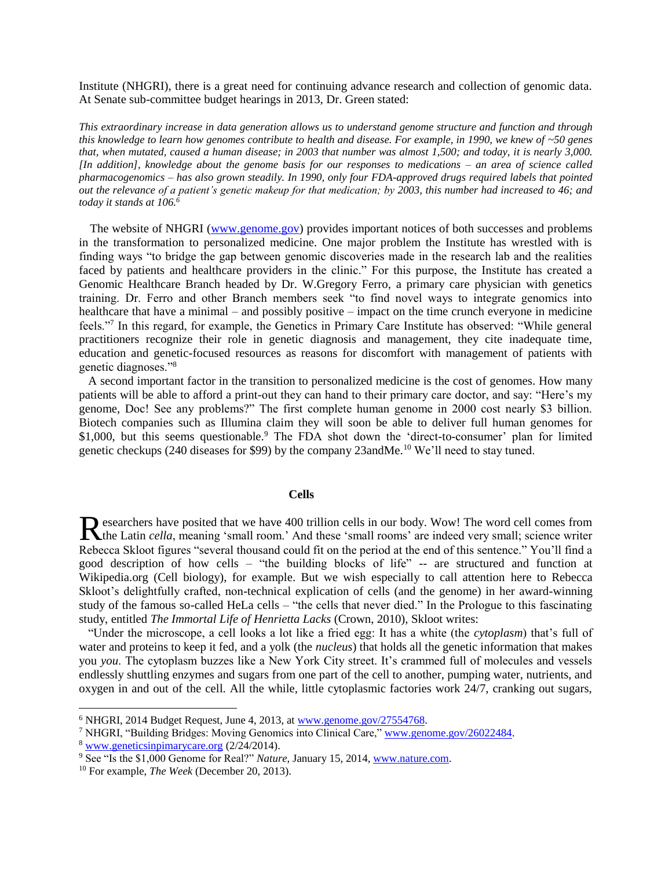Institute (NHGRI), there is a great need for continuing advance research and collection of genomic data. At Senate sub-committee budget hearings in 2013, Dr. Green stated:

*This extraordinary increase in data generation allows us to understand genome structure and function and through this knowledge to learn how genomes contribute to health and disease. For example, in 1990, we knew of ~50 genes that, when mutated, caused a human disease; in 2003 that number was almost 1,500; and today, it is nearly 3,000. [In addition], knowledge about the genome basis for our responses to medications – an area of science called pharmacogenomics – has also grown steadily. In 1990, only four FDA-approved drugs required labels that pointed out the relevance of a patient's genetic makeup for that medication; by 2003, this number had increased to 46; and today it stands at 106.<sup>6</sup>*

 The website of NHGRI [\(www.genome.gov\)](http://www.genome.gov/) provides important notices of both successes and problems in the transformation to personalized medicine. One major problem the Institute has wrestled with is finding ways "to bridge the gap between genomic discoveries made in the research lab and the realities faced by patients and healthcare providers in the clinic." For this purpose, the Institute has created a Genomic Healthcare Branch headed by Dr. W.Gregory Ferro, a primary care physician with genetics training. Dr. Ferro and other Branch members seek "to find novel ways to integrate genomics into healthcare that have a minimal – and possibly positive – impact on the time crunch everyone in medicine feels."<sup>7</sup> In this regard, for example, the Genetics in Primary Care Institute has observed: "While general practitioners recognize their role in genetic diagnosis and management, they cite inadequate time, education and genetic-focused resources as reasons for discomfort with management of patients with genetic diagnoses."<sup>8</sup>

 A second important factor in the transition to personalized medicine is the cost of genomes. How many patients will be able to afford a print-out they can hand to their primary care doctor, and say: "Here's my genome, Doc! See any problems?" The first complete human genome in 2000 cost nearly \$3 billion. Biotech companies such as Illumina claim they will soon be able to deliver full human genomes for \$1,000, but this seems questionable.<sup>9</sup> The FDA shot down the 'direct-to-consumer' plan for limited genetic checkups (240 diseases for \$99) by the company 23andMe.<sup>10</sup> We'll need to stay tuned.

### **Cells**

esearchers have posited that we have 400 trillion cells in our body. Wow! The word cell comes from Researchers have posited that we have 400 trillion cells in our body. Wow! The word cell comes from the Latin *cella*, meaning 'small room.' And these 'small rooms' are indeed very small; science writer Rebecca Skloot figures "several thousand could fit on the period at the end of this sentence." You'll find a good description of how cells – "the building blocks of life" -- are structured and function at Wikipedia.org (Cell biology), for example. But we wish especially to call attention here to Rebecca Skloot's delightfully crafted, non-technical explication of cells (and the genome) in her award-winning study of the famous so-called HeLa cells – "the cells that never died." In the Prologue to this fascinating study, entitled *The Immortal Life of Henrietta Lacks* (Crown, 2010), Skloot writes:

 "Under the microscope, a cell looks a lot like a fried egg: It has a white (the *cytoplasm*) that's full of water and proteins to keep it fed, and a yolk (the *nucleus*) that holds all the genetic information that makes you *you*. The cytoplasm buzzes like a New York City street. It's crammed full of molecules and vessels endlessly shuttling enzymes and sugars from one part of the cell to another, pumping water, nutrients, and oxygen in and out of the cell. All the while, little cytoplasmic factories work 24/7, cranking out sugars,

<sup>8</sup> [www.geneticsinpimarycare.org](http://www.geneticsinpimarycare.org/) (2/24/2014).

l

<sup>6</sup> NHGRI, 2014 Budget Request, June 4, 2013, at [www.genome.gov/27554768.](http://www.genome.gov/27554768)

<sup>7</sup> NHGRI, "Building Bridges: Moving Genomics into Clinical Care," [www.genome.gov/26022484.](http://www.genome.gov/26022484)

<sup>&</sup>lt;sup>9</sup> See "Is the \$1,000 Genome for Real?" *Nature*, January 15, 2014, [www.nature.com.](http://www.nature.com/)

<sup>10</sup> For example, *The Week* (December 20, 2013).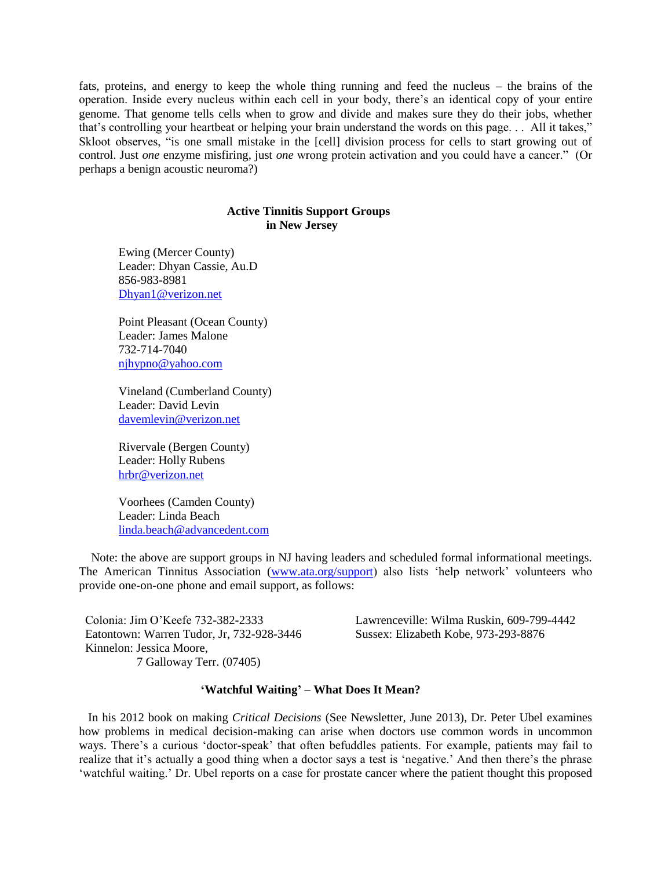fats, proteins, and energy to keep the whole thing running and feed the nucleus – the brains of the operation. Inside every nucleus within each cell in your body, there's an identical copy of your entire genome. That genome tells cells when to grow and divide and makes sure they do their jobs, whether that's controlling your heartbeat or helping your brain understand the words on this page. . . All it takes," Skloot observes, "is one small mistake in the [cell] division process for cells to start growing out of control. Just *one* enzyme misfiring, just *one* wrong protein activation and you could have a cancer." (Or perhaps a benign acoustic neuroma?)

### **Active Tinnitis Support Groups in New Jersey**

Ewing (Mercer County) Leader: Dhyan Cassie, Au.D 856-983-8981 [Dhyan1@verizon.net](mailto:Dhyan1@verizon.net)

Point Pleasant (Ocean County) Leader: James Malone 732-714-7040 [njhypno@yahoo.com](mailto:njhypno@yahoo.com)

Vineland (Cumberland County) Leader: David Levin [davemlevin@verizon.net](mailto:davemlevin@verizon.net)

Rivervale (Bergen County) Leader: Holly Rubens [hrbr@verizon.net](mailto:hrbr@verizon.net)

Voorhees (Camden County) Leader: Linda Beach [linda.beach@advancedent.com](mailto:linda.beach@advancedent.com)

 Note: the above are support groups in NJ having leaders and scheduled formal informational meetings. The American Tinnitus Association [\(www.ata.org/support\)](http://www.ata.org/support) also lists 'help network' volunteers who provide one-on-one phone and email support, as follows:

 Colonia: Jim O'Keefe 732-382-2333 Lawrenceville: Wilma Ruskin, 609-799-4442 Eatontown: Warren Tudor, Jr, 732-928-3446 Sussex: Elizabeth Kobe, 973-293-8876 Kinnelon: Jessica Moore, 7 Galloway Terr. (07405)

### **'Watchful Waiting' – What Does It Mean?**

 In his 2012 book on making *Critical Decisions* (See Newsletter, June 2013), Dr. Peter Ubel examines how problems in medical decision-making can arise when doctors use common words in uncommon ways. There's a curious 'doctor-speak' that often befuddles patients. For example, patients may fail to realize that it's actually a good thing when a doctor says a test is 'negative.' And then there's the phrase 'watchful waiting.' Dr. Ubel reports on a case for prostate cancer where the patient thought this proposed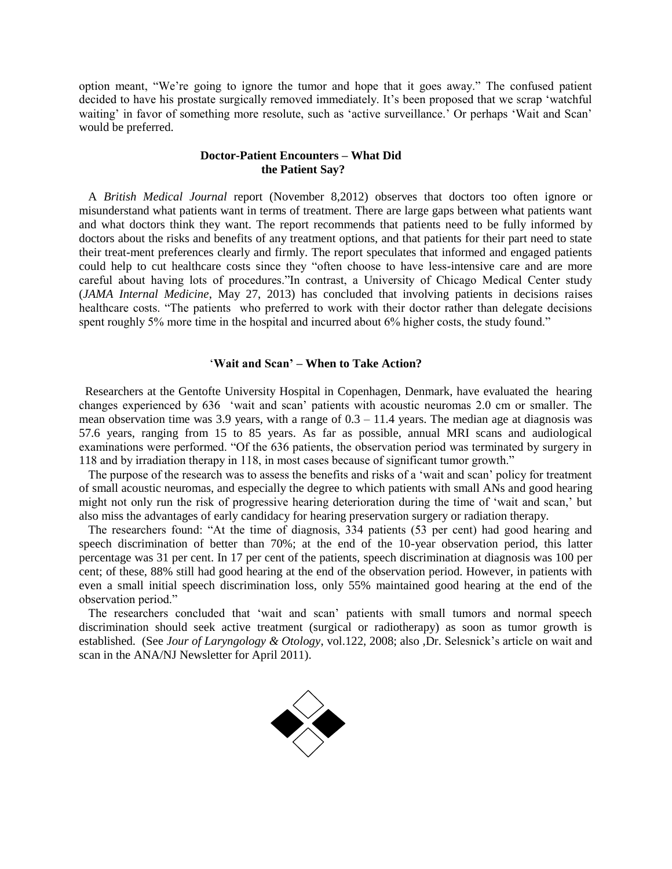option meant, "We're going to ignore the tumor and hope that it goes away." The confused patient decided to have his prostate surgically removed immediately. It's been proposed that we scrap 'watchful waiting' in favor of something more resolute, such as 'active surveillance.' Or perhaps 'Wait and Scan' would be preferred.

### **Doctor-Patient Encounters – What Did the Patient Say?**

 A *British Medical Journal* report (November 8,2012) observes that doctors too often ignore or misunderstand what patients want in terms of treatment. There are large gaps between what patients want and what doctors think they want. The report recommends that patients need to be fully informed by doctors about the risks and benefits of any treatment options, and that patients for their part need to state their treat-ment preferences clearly and firmly. The report speculates that informed and engaged patients could help to cut healthcare costs since they "often choose to have less-intensive care and are more careful about having lots of procedures."In contrast, a University of Chicago Medical Center study (*JAMA Internal Medicine*, May 27, 2013) has concluded that involving patients in decisions raises healthcare costs. "The patients who preferred to work with their doctor rather than delegate decisions spent roughly 5% more time in the hospital and incurred about 6% higher costs, the study found."

### '**Wait and Scan' – When to Take Action?**

 Researchers at the Gentofte University Hospital in Copenhagen, Denmark, have evaluated the hearing changes experienced by 636 'wait and scan' patients with acoustic neuromas 2.0 cm or smaller. The mean observation time was 3.9 years, with a range of  $0.3 - 11.4$  years. The median age at diagnosis was 57.6 years, ranging from 15 to 85 years. As far as possible, annual MRI scans and audiological examinations were performed. "Of the 636 patients, the observation period was terminated by surgery in 118 and by irradiation therapy in 118, in most cases because of significant tumor growth."

 The purpose of the research was to assess the benefits and risks of a 'wait and scan' policy for treatment of small acoustic neuromas, and especially the degree to which patients with small ANs and good hearing might not only run the risk of progressive hearing deterioration during the time of 'wait and scan,' but also miss the advantages of early candidacy for hearing preservation surgery or radiation therapy.

 The researchers found: "At the time of diagnosis, 334 patients (53 per cent) had good hearing and speech discrimination of better than 70%; at the end of the 10-year observation period, this latter percentage was 31 per cent. In 17 per cent of the patients, speech discrimination at diagnosis was 100 per cent; of these, 88% still had good hearing at the end of the observation period. However, in patients with even a small initial speech discrimination loss, only 55% maintained good hearing at the end of the observation period."

 The researchers concluded that 'wait and scan' patients with small tumors and normal speech discrimination should seek active treatment (surgical or radiotherapy) as soon as tumor growth is established. (See *Jour of Laryngology & Otology*, vol.122, 2008; also ,Dr. Selesnick's article on wait and scan in the ANA/NJ Newsletter for April 2011).

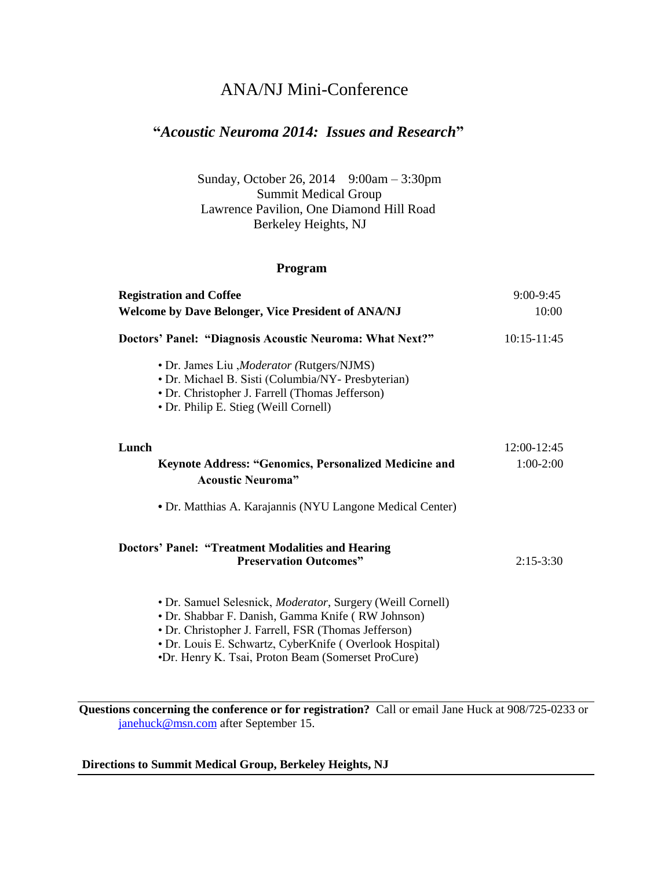# ANA/NJ Mini-Conference

# **"***Acoustic Neuroma 2014: Issues and Research***"**

Sunday, October 26, 2014 9:00am – 3:30pm Summit Medical Group Lawrence Pavilion, One Diamond Hill Road Berkeley Heights, NJ

# **Program**

| <b>Registration and Coffee</b>                                                                                                                                                                                                                                                           | 9:00-9:45   |
|------------------------------------------------------------------------------------------------------------------------------------------------------------------------------------------------------------------------------------------------------------------------------------------|-------------|
| <b>Welcome by Dave Belonger, Vice President of ANA/NJ</b>                                                                                                                                                                                                                                | 10:00       |
| Doctors' Panel: "Diagnosis Acoustic Neuroma: What Next?"                                                                                                                                                                                                                                 | 10:15-11:45 |
| • Dr. James Liu , Moderator (Rutgers/NJMS)<br>· Dr. Michael B. Sisti (Columbia/NY- Presbyterian)<br>• Dr. Christopher J. Farrell (Thomas Jefferson)<br>• Dr. Philip E. Stieg (Weill Cornell)                                                                                             |             |
| Lunch                                                                                                                                                                                                                                                                                    | 12:00-12:45 |
| <b>Keynote Address: "Genomics, Personalized Medicine and</b><br><b>Acoustic Neuroma</b> "                                                                                                                                                                                                | $1:00-2:00$ |
| • Dr. Matthias A. Karajannis (NYU Langone Medical Center)                                                                                                                                                                                                                                |             |
| <b>Doctors' Panel: "Treatment Modalities and Hearing</b><br><b>Preservation Outcomes"</b>                                                                                                                                                                                                | $2:15-3:30$ |
| • Dr. Samuel Selesnick, Moderator, Surgery (Weill Cornell)<br>• Dr. Shabbar F. Danish, Gamma Knife (RW Johnson)<br>• Dr. Christopher J. Farrell, FSR (Thomas Jefferson)<br>• Dr. Louis E. Schwartz, CyberKnife (Overlook Hospital)<br>•Dr. Henry K. Tsai, Proton Beam (Somerset ProCure) |             |

**Questions concerning the conference or for registration?** Call or email Jane Huck at 908/725-0233 or [janehuck@msn.com](mailto:janehuck@msn.com) after September 15.

## **Directions to Summit Medical Group, Berkeley Heights, NJ**